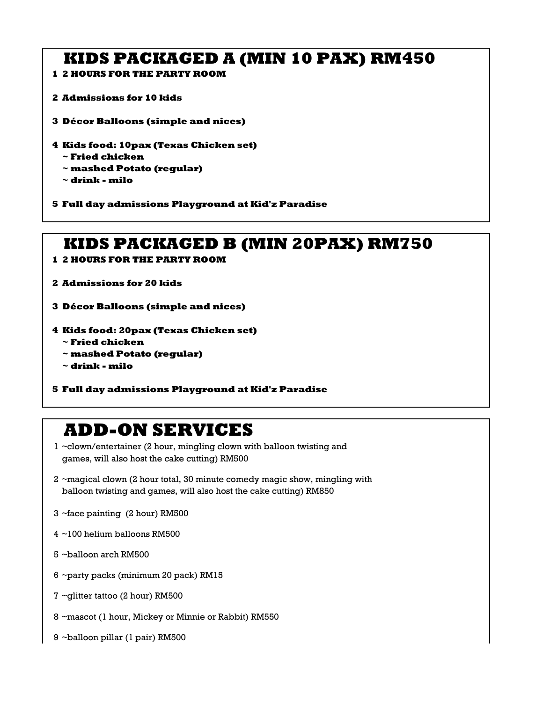## **KIDS PACKAGED A (MIN 10 PAX) RM450**

- **2 HOURS FOR THE PARTY ROOM**
- **Admissions for 10 kids**
- **Décor Balloons (simple and nices)**
- **Kids food: 10pax (Texas Chicken set)**
	- **~ Fried chicken**
	- **~ mashed Potato (regular)**
	- **~ drink milo**
- **Full day admissions Playground at Kid'z Paradise**

## **KIDS PACKAGED B (MIN 20PAX) RM750**

- **2 HOURS FOR THE PARTY ROOM**
- **Admissions for 20 kids**
- **Décor Balloons (simple and nices)**
- **Kids food: 20pax (Texas Chicken set)**
	- **~ Fried chicken**
	- **~ mashed Potato (regular)**
	- **~ drink milo**
- **Full day admissions Playground at Kid'z Paradise**

# **ADD-ON SERVICES**

- ~clown/entertainer (2 hour, mingling clown with balloon twisting and games, will also host the cake cutting) RM500
- ~magical clown (2 hour total, 30 minute comedy magic show, mingling with balloon twisting and games, will also host the cake cutting) RM850
- ~face painting (2 hour) RM500
- ~100 helium balloons RM500
- ~balloon arch RM500
- ~party packs (minimum 20 pack) RM15
- ~glitter tattoo (2 hour) RM500
- ~mascot (1 hour, Mickey or Minnie or Rabbit) RM550
- ~balloon pillar (1 pair) RM500